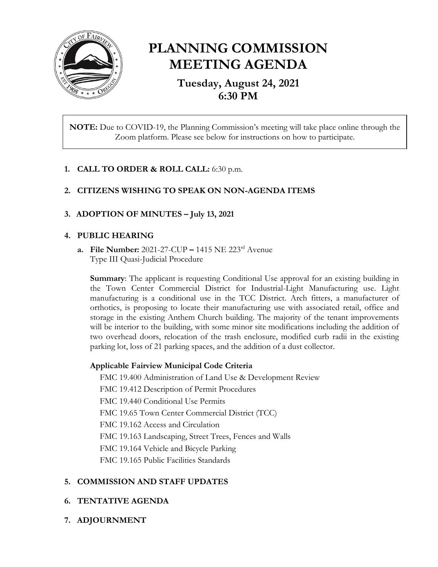

# **PLANNING COMMISSION MEETING AGENDA**

**Tuesday, August 24, 2021 6:30 PM**

**NOTE:** Due to COVID-19, the Planning Commission's meeting will take place online through the Zoom platform. Please see below for instructions on how to participate.

# **1. CALL TO ORDER & ROLL CALL:** 6:30 p.m.

# **2. CITIZENS WISHING TO SPEAK ON NON-AGENDA ITEMS**

# **3. ADOPTION OF MINUTES – July 13, 2021**

#### **4. PUBLIC HEARING**

**a. File Number:** 2021-27-CUP **–** 1415 NE 223rd Avenue Type III Quasi-Judicial Procedure

**Summary**: The applicant is requesting Conditional Use approval for an existing building in the Town Center Commercial District for Industrial-Light Manufacturing use. Light manufacturing is a conditional use in the TCC District. Arch fitters, a manufacturer of orthotics, is proposing to locate their manufacturing use with associated retail, office and storage in the existing Anthem Church building. The majority of the tenant improvements will be interior to the building, with some minor site modifications including the addition of two overhead doors, relocation of the trash enclosure, modified curb radii in the existing parking lot, loss of 21 parking spaces, and the addition of a dust collector.

#### **Applicable Fairview Municipal Code Criteria**

FMC 19.400 Administration of Land Use & Development Review

FMC 19.412 Description of Permit Procedures

FMC 19.440 Conditional Use Permits

FMC 19.65 Town Center Commercial District (TCC)

FMC 19.162 Access and Circulation

FMC 19.163 Landscaping, Street Trees, Fences and Walls

FMC 19.164 Vehicle and Bicycle Parking

FMC 19.165 Public Facilities Standards

# **5. COMMISSION AND STAFF UPDATES**

# **6. TENTATIVE AGENDA**

**7. ADJOURNMENT**